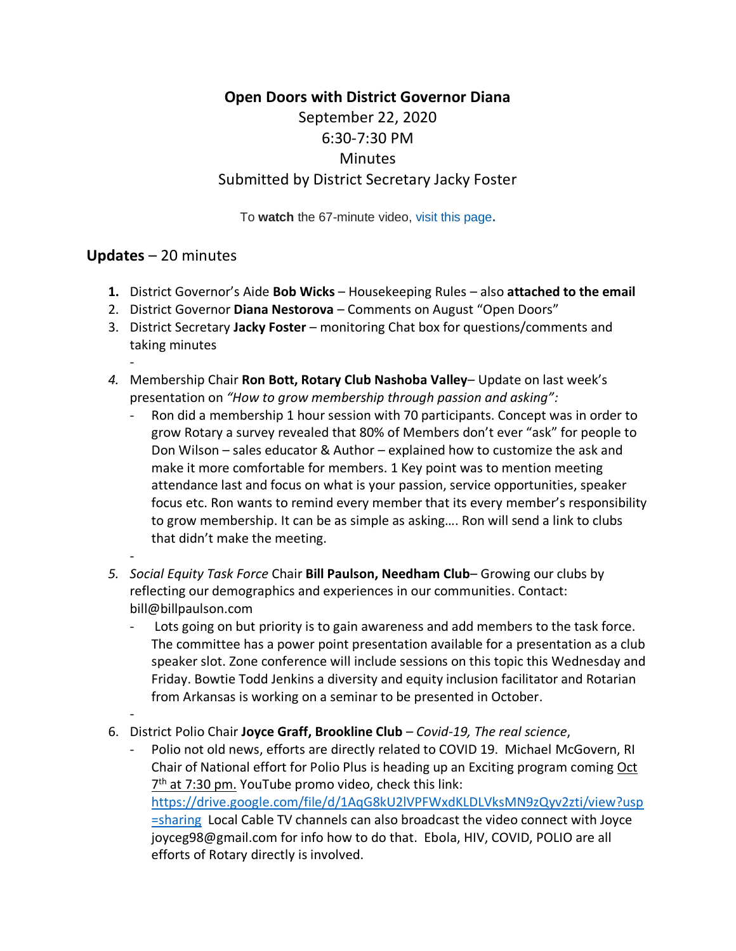## **Open Doors with District Governor Diana** September 22, 2020 6:30-7:30 PM **Minutes** Submitted by District Secretary Jacky Foster

To **watch** the 67-minute video, [visit this page](https://rotary7910.org/page/opening-doors-with-dg-diana-fundraising-and-membership-september-22-2020)**[.](https://rotary7910.org/page/opening-doors-with-dg-diana-fundraising-and-membership-september-22-2020)**

## **Updates** – 20 minutes

- **1.** District Governor's Aide **Bob Wicks** Housekeeping Rules also **attached to the email**
- 2. District Governor **Diana Nestorova** Comments on August "Open Doors"
- 3. District Secretary **Jacky Foster** monitoring Chat box for questions/comments and taking minutes
	- -
- *4.* Membership Chair **Ron Bott, Rotary Club Nashoba Valley** Update on last week's presentation on *"How to grow membership through passion and asking":*
	- Ron did a membership 1 hour session with 70 participants. Concept was in order to grow Rotary a survey revealed that 80% of Members don't ever "ask" for people to Don Wilson – sales educator & Author – explained how to customize the ask and make it more comfortable for members. 1 Key point was to mention meeting attendance last and focus on what is your passion, service opportunities, speaker focus etc. Ron wants to remind every member that its every member's responsibility to grow membership. It can be as simple as asking…. Ron will send a link to clubs that didn't make the meeting.
- *5. Social Equity Task Force* Chair **Bill Paulson, Needham Club**– Growing our clubs by reflecting our demographics and experiences in our communities. Contact: bill@billpaulson.com
	- Lots going on but priority is to gain awareness and add members to the task force. The committee has a power point presentation available for a presentation as a club speaker slot. Zone conference will include sessions on this topic this Wednesday and Friday. Bowtie Todd Jenkins a diversity and equity inclusion facilitator and Rotarian from Arkansas is working on a seminar to be presented in October.
- 

-

- 6. District Polio Chair **Joyce Graff, Brookline Club** *– Covid-19, The real science*,
	- Polio not old news, efforts are directly related to COVID 19. Michael McGovern, RI Chair of National effort for Polio Plus is heading up an Exciting program coming Oct 7<sup>th</sup> at 7:30 pm. YouTube promo video, check this link: [https://drive.google.com/file/d/1AqG8kU2lVPFWxdKLDLVksMN9zQyv2zti/view?usp](https://drive.google.com/file/d/1AqG8kU2lVPFWxdKLDLVksMN9zQyv2zti/view?usp=sharing) [=sharing](https://drive.google.com/file/d/1AqG8kU2lVPFWxdKLDLVksMN9zQyv2zti/view?usp=sharing) Local Cable TV channels can also broadcast the video connect with Joyce joyceg98@gmail.com for info how to do that. Ebola, HIV, COVID, POLIO are all efforts of Rotary directly is involved.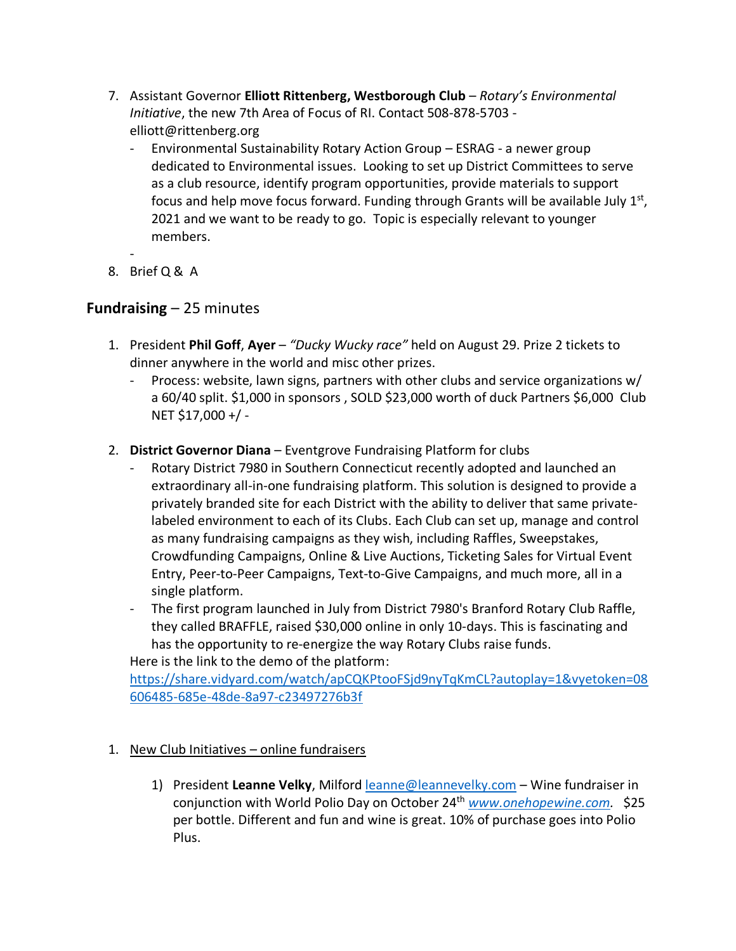- 7. Assistant Governor **Elliott Rittenberg, Westborough Club** *Rotary's Environmental Initiative*, the new 7th Area of Focus of RI. Contact 508-878-5703 elliott@rittenberg.org
	- Environmental Sustainability Rotary Action Group ESRAG a newer group dedicated to Environmental issues. Looking to set up District Committees to serve as a club resource, identify program opportunities, provide materials to support focus and help move focus forward. Funding through Grants will be available July 1<sup>st</sup>, 2021 and we want to be ready to go. Topic is especially relevant to younger members.
- 8. Brief Q & A

## **Fundraising** – 25 minutes

- 1. President **Phil Goff**, **Ayer** *"Ducky Wucky race"* held on August 29. Prize 2 tickets to dinner anywhere in the world and misc other prizes.
	- Process: website, lawn signs, partners with other clubs and service organizations w/ a 60/40 split. \$1,000 in sponsors , SOLD \$23,000 worth of duck Partners \$6,000 Club NET \$17,000 +/ -
- 2. **District Governor Diana** Eventgrove Fundraising Platform for clubs
	- Rotary District 7980 in Southern Connecticut recently adopted and launched an extraordinary all-in-one fundraising platform. This solution is designed to provide a privately branded site for each District with the ability to deliver that same privatelabeled environment to each of its Clubs. Each Club can set up, manage and control as many fundraising campaigns as they wish, including Raffles, Sweepstakes, Crowdfunding Campaigns, Online & Live Auctions, Ticketing Sales for Virtual Event Entry, Peer-to-Peer Campaigns, Text-to-Give Campaigns, and much more, all in a single platform.
	- The first program launched in July from District 7980's Branford Rotary Club Raffle, they called BRAFFLE, raised \$30,000 online in only 10-days. This is fascinating and has the opportunity to re-energize the way Rotary Clubs raise funds.

Here is the link to the demo of the platform:

[https://share.vidyard.com/watch/apCQKPtooFSjd9nyTqKmCL?autoplay=1&vyetoken=08](https://share.vidyard.com/watch/apCQKPtooFSjd9nyTqKmCL?autoplay=1&vyetoken=08606485-685e-48de-8a97-c23497276b3f) [606485-685e-48de-8a97-c23497276b3f](https://share.vidyard.com/watch/apCQKPtooFSjd9nyTqKmCL?autoplay=1&vyetoken=08606485-685e-48de-8a97-c23497276b3f)

- 1. New Club Initiatives online fundraisers
	- 1) President **Leanne Velky**, Milford [leanne@leannevelky.com](mailto:leanne@leannevelky.com) Wine fundraiser in conjunction with World Polio Day on October 24th *[www.onehopewine.com.](http://www.onehopewine.com/)* \$25 per bottle. Different and fun and wine is great. 10% of purchase goes into Polio Plus.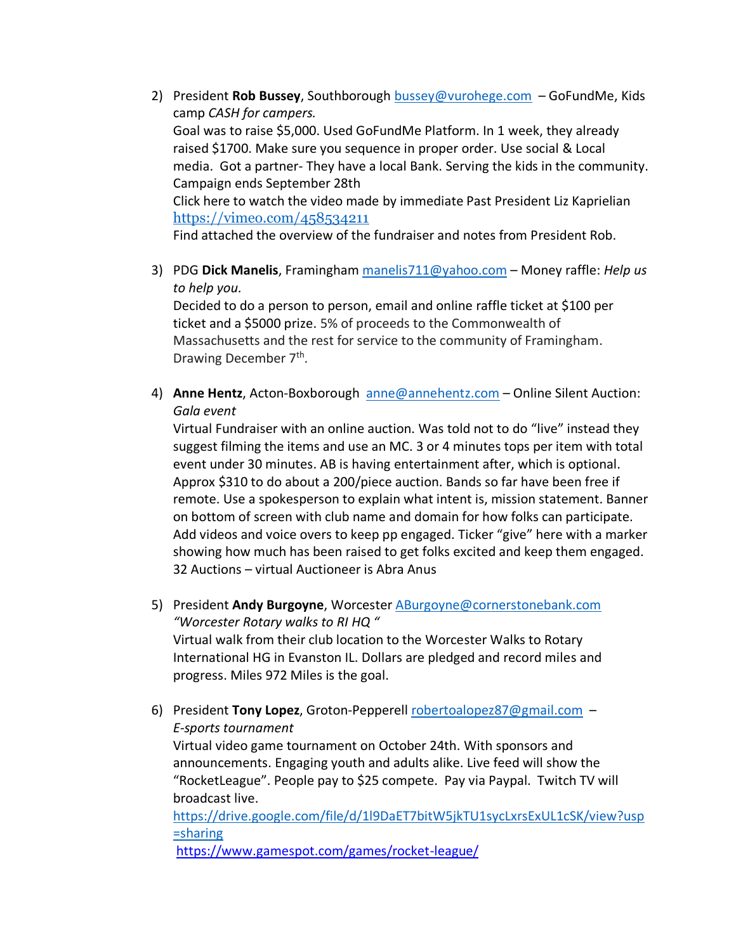- 2) President **Rob Bussey**, Southborough [bussey@vurohege.com](mailto:bussey@vurohege.com) GoFundMe, Kids camp *CASH for campers.*  Goal was to raise \$5,000. Used GoFundMe Platform. In 1 week, they already raised \$1700. Make sure you sequence in proper order. Use social & Local media. Got a partner- They have a local Bank. Serving the kids in the community. Campaign ends September 28th Click here to watch the video made by immediate Past President Liz Kaprielian <https://vimeo.com/458534211> Find attached the overview of the fundraiser and notes from President Rob.
- 3) PDG **Dick Manelis**, Framingham [manelis711@yahoo.com](mailto:manelis711@yahoo.com) Money raffle: *Help us to help you.*

Decided to do a person to person, email and online raffle ticket at \$100 per ticket and a \$5000 prize. 5% of proceeds to the Commonwealth of Massachusetts and the rest for service to the community of Framingham. Drawing December 7<sup>th</sup>.

4) **Anne Hentz**, Acton-Boxborough [anne@annehentz.com](mailto:anne@annehentz.com) – Online Silent Auction: *Gala event*

Virtual Fundraiser with an online auction. Was told not to do "live" instead they suggest filming the items and use an MC. 3 or 4 minutes tops per item with total event under 30 minutes. AB is having entertainment after, which is optional. Approx \$310 to do about a 200/piece auction. Bands so far have been free if remote. Use a spokesperson to explain what intent is, mission statement. Banner on bottom of screen with club name and domain for how folks can participate. Add videos and voice overs to keep pp engaged. Ticker "give" here with a marker showing how much has been raised to get folks excited and keep them engaged. 32 Auctions – virtual Auctioneer is Abra Anus

- 5) President **Andy Burgoyne**, Worcester [ABurgoyne@cornerstonebank.com](mailto:ABurgoyne@cornerstonebank.com) *"Worcester Rotary walks to RI HQ "* Virtual walk from their club location to the Worcester Walks to Rotary International HG in Evanston IL. Dollars are pledged and record miles and progress. Miles 972 Miles is the goal.
- 6) President **Tony Lopez**, Groton-Pepperell [robertoalopez87@gmail.com](mailto:robertoalopez87@gmail.com) *E-sports tournament*

Virtual video game tournament on October 24th. With sponsors and announcements. Engaging youth and adults alike. Live feed will show the "RocketLeague". People pay to \$25 compete. Pay via Paypal. Twitch TV will broadcast live.

[https://drive.google.com/file/d/1l9DaET7bitW5jkTU1sycLxrsExUL1cSK/view?usp](https://drive.google.com/file/d/1l9DaET7bitW5jkTU1sycLxrsExUL1cSK/view?usp=sharing) [=sharing](https://drive.google.com/file/d/1l9DaET7bitW5jkTU1sycLxrsExUL1cSK/view?usp=sharing)

<https://www.gamespot.com/games/rocket-league/>